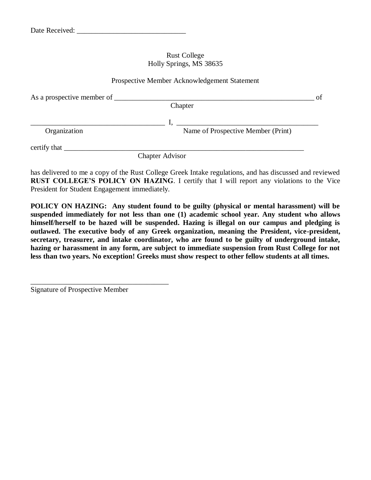#### Rust College Holly Springs, MS 38635

#### Prospective Member Acknowledgement Statement

| As a prospective member of __ |                                    | of |
|-------------------------------|------------------------------------|----|
|                               | Chapter                            |    |
|                               |                                    |    |
| Organization                  | Name of Prospective Member (Print) |    |
|                               |                                    |    |
|                               | <b>Chapter Advisor</b>             |    |

has delivered to me a copy of the Rust College Greek Intake regulations, and has discussed and reviewed **RUST COLLEGE'S POLICY ON HAZING**. I certify that I will report any violations to the Vice President for Student Engagement immediately.

**POLICY ON HAZING: Any student found to be guilty (physical or mental harassment) will be suspended immediately for not less than one (1) academic school year. Any student who allows himself/herself to be hazed will be suspended. Hazing is illegal on our campus and pledging is outlawed. The executive body of any Greek organization, meaning the President, vice-president, secretary, treasurer, and intake coordinator, who are found to be guilty of underground intake, hazing or harassment in any form, are subject to immediate suspension from Rust College for not less than two years. No exception! Greeks must show respect to other fellow students at all times.**

Signature of Prospective Member

\_\_\_\_\_\_\_\_\_\_\_\_\_\_\_\_\_\_\_\_\_\_\_\_\_\_\_\_\_\_\_\_\_\_\_\_\_\_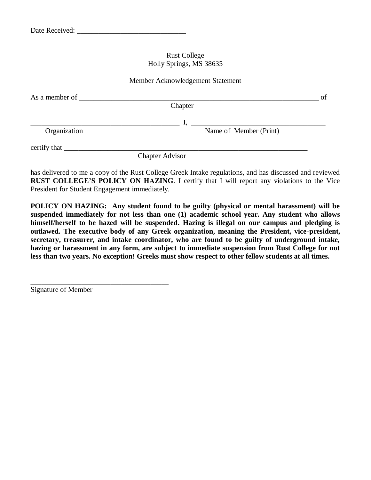#### Rust College Holly Springs, MS 38635

#### Member Acknowledgement Statement

| As a member of | Chapter                | of |
|----------------|------------------------|----|
| Organization   | Name of Member (Print) |    |
|                |                        |    |
|                | <b>Chapter Advisor</b> |    |

has delivered to me a copy of the Rust College Greek Intake regulations, and has discussed and reviewed **RUST COLLEGE'S POLICY ON HAZING**. I certify that I will report any violations to the Vice President for Student Engagement immediately.

**POLICY ON HAZING: Any student found to be guilty (physical or mental harassment) will be suspended immediately for not less than one (1) academic school year. Any student who allows himself/herself to be hazed will be suspended. Hazing is illegal on our campus and pledging is outlawed. The executive body of any Greek organization, meaning the President, vice-president, secretary, treasurer, and intake coordinator, who are found to be guilty of underground intake, hazing or harassment in any form, are subject to immediate suspension from Rust College for not less than two years. No exception! Greeks must show respect to other fellow students at all times.**

Signature of Member

\_\_\_\_\_\_\_\_\_\_\_\_\_\_\_\_\_\_\_\_\_\_\_\_\_\_\_\_\_\_\_\_\_\_\_\_\_\_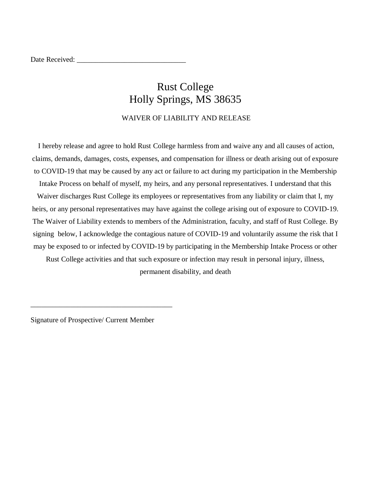Date Received:

# Rust College Holly Springs, MS 38635

WAIVER OF LIABILITY AND RELEASE

I hereby release and agree to hold Rust College harmless from and waive any and all causes of action, claims, demands, damages, costs, expenses, and compensation for illness or death arising out of exposure to COVID-19 that may be caused by any act or failure to act during my participation in the Membership Intake Process on behalf of myself, my heirs, and any personal representatives. I understand that this Waiver discharges Rust College its employees or representatives from any liability or claim that I, my heirs, or any personal representatives may have against the college arising out of exposure to COVID-19. The Waiver of Liability extends to members of the Administration, faculty, and staff of Rust College. By signing below, I acknowledge the contagious nature of COVID-19 and voluntarily assume the risk that I may be exposed to or infected by COVID-19 by participating in the Membership Intake Process or other

Rust College activities and that such exposure or infection may result in personal injury, illness, permanent disability, and death

Signature of Prospective/ Current Member

\_\_\_\_\_\_\_\_\_\_\_\_\_\_\_\_\_\_\_\_\_\_\_\_\_\_\_\_\_\_\_\_\_\_\_\_\_\_\_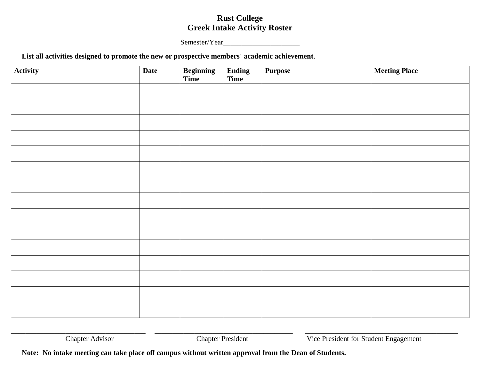### **Rust College Greek Intake Activity Roster**

Semester/Year

### **List all activities designed to promote the new or prospective members' academic achievement**.

| Activity | <b>Date</b> | <b>Beginning</b><br>Time | Ending<br>Time | <b>Purpose</b> | <b>Meeting Place</b> |
|----------|-------------|--------------------------|----------------|----------------|----------------------|
|          |             |                          |                |                |                      |
|          |             |                          |                |                |                      |
|          |             |                          |                |                |                      |
|          |             |                          |                |                |                      |
|          |             |                          |                |                |                      |
|          |             |                          |                |                |                      |
|          |             |                          |                |                |                      |
|          |             |                          |                |                |                      |
|          |             |                          |                |                |                      |
|          |             |                          |                |                |                      |
|          |             |                          |                |                |                      |
|          |             |                          |                |                |                      |
|          |             |                          |                |                |                      |
|          |             |                          |                |                |                      |
|          |             |                          |                |                |                      |

\_\_\_\_\_\_\_\_\_\_\_\_\_\_\_\_\_\_\_\_\_\_\_\_\_\_\_\_\_\_\_\_\_\_\_\_\_ \_\_\_\_\_\_\_\_\_\_\_\_\_\_\_\_\_\_\_\_\_\_\_\_\_\_\_\_\_\_\_\_\_\_\_\_\_\_ \_\_\_\_\_\_\_\_\_\_\_\_\_\_\_\_\_\_\_\_\_\_\_\_\_\_\_\_\_\_\_\_\_\_\_\_\_\_\_\_\_\_

Chapter Advisor Chapter President Vice President for Student Engagement

**Note: No intake meeting can take place off campus without written approval from the Dean of Students.**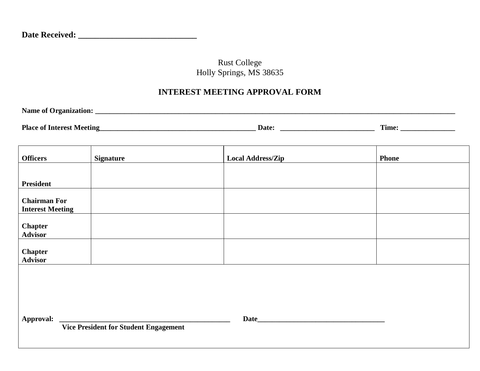## Rust College Holly Springs, MS 38635

# **INTEREST MEETING APPROVAL FORM**

| <b>Name of Organization:</b> |  |  |  |
|------------------------------|--|--|--|
|                              |  |  |  |
|                              |  |  |  |

| <b>Place</b><br>ллт<br><br>. | ∍ate∙ | .<br>$\mathbf{r}$<br>ım |  |
|------------------------------|-------|-------------------------|--|
|------------------------------|-------|-------------------------|--|

<u> 1989 - Johann Stoff, amerikansk politiker (d. 1989)</u>

| <b>Officers</b>                                | <b>Signature</b> | <b>Local Address/Zip</b> | <b>Phone</b> |  |  |
|------------------------------------------------|------------------|--------------------------|--------------|--|--|
|                                                |                  |                          |              |  |  |
| <b>President</b>                               |                  |                          |              |  |  |
| <b>Chairman For</b><br><b>Interest Meeting</b> |                  |                          |              |  |  |
| <b>Chapter</b><br>Advisor                      |                  |                          |              |  |  |
| <b>Chapter</b><br><b>Advisor</b>               |                  |                          |              |  |  |
|                                                |                  |                          |              |  |  |
|                                                |                  |                          |              |  |  |
| Approval:                                      |                  | Date_                    |              |  |  |
| <b>Vice President for Student Engagement</b>   |                  |                          |              |  |  |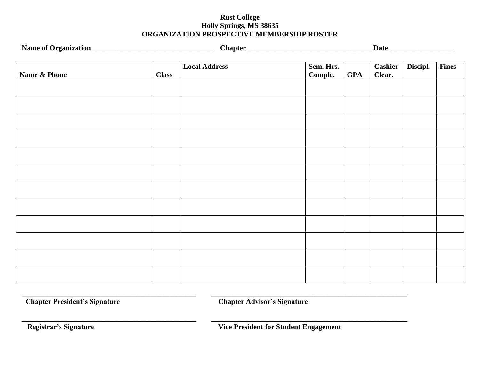### **Rust College Holly Springs, MS 38635 ORGANIZATION PROSPECTIVE MEMBERSHIP ROSTER**

|              |              |                      |                      |            | Data                     |          |              |
|--------------|--------------|----------------------|----------------------|------------|--------------------------|----------|--------------|
| Name & Phone | <b>Class</b> | <b>Local Address</b> | Sem. Hrs.<br>Comple. | <b>GPA</b> | <b>Cashier</b><br>Clear. | Discipl. | <b>Fines</b> |
|              |              |                      |                      |            |                          |          |              |
|              |              |                      |                      |            |                          |          |              |
|              |              |                      |                      |            |                          |          |              |
|              |              |                      |                      |            |                          |          |              |
|              |              |                      |                      |            |                          |          |              |
|              |              |                      |                      |            |                          |          |              |
|              |              |                      |                      |            |                          |          |              |
|              |              |                      |                      |            |                          |          |              |
|              |              |                      |                      |            |                          |          |              |
|              |              |                      |                      |            |                          |          |              |
|              |              |                      |                      |            |                          |          |              |
|              |              |                      |                      |            |                          |          |              |

**Chapter President's Signature Chapter Advisor's Signature** 

**\_\_\_\_\_\_\_\_\_\_\_\_\_\_\_\_\_\_\_\_\_\_\_\_\_\_\_\_\_\_\_\_\_\_\_\_\_\_\_\_\_\_\_\_\_\_\_\_ \_\_\_\_\_\_\_\_\_\_\_\_\_\_\_\_\_\_\_\_\_\_\_\_\_\_\_\_\_\_\_\_\_\_\_\_\_\_\_\_\_\_\_\_\_\_\_\_\_\_\_\_\_\_**

**\_\_\_\_\_\_\_\_\_\_\_\_\_\_\_\_\_\_\_\_\_\_\_\_\_\_\_\_\_\_\_\_\_\_\_\_\_\_\_\_\_\_\_\_\_\_\_\_ \_\_\_\_\_\_\_\_\_\_\_\_\_\_\_\_\_\_\_\_\_\_\_\_\_\_\_\_\_\_\_\_\_\_\_\_\_\_\_\_\_\_\_\_\_\_\_\_\_\_\_\_\_\_**

**Registrar's Signature Community Community Community Community Community Community Community Community Community Community Community Community Community Community Community Community Community Community Community Community**